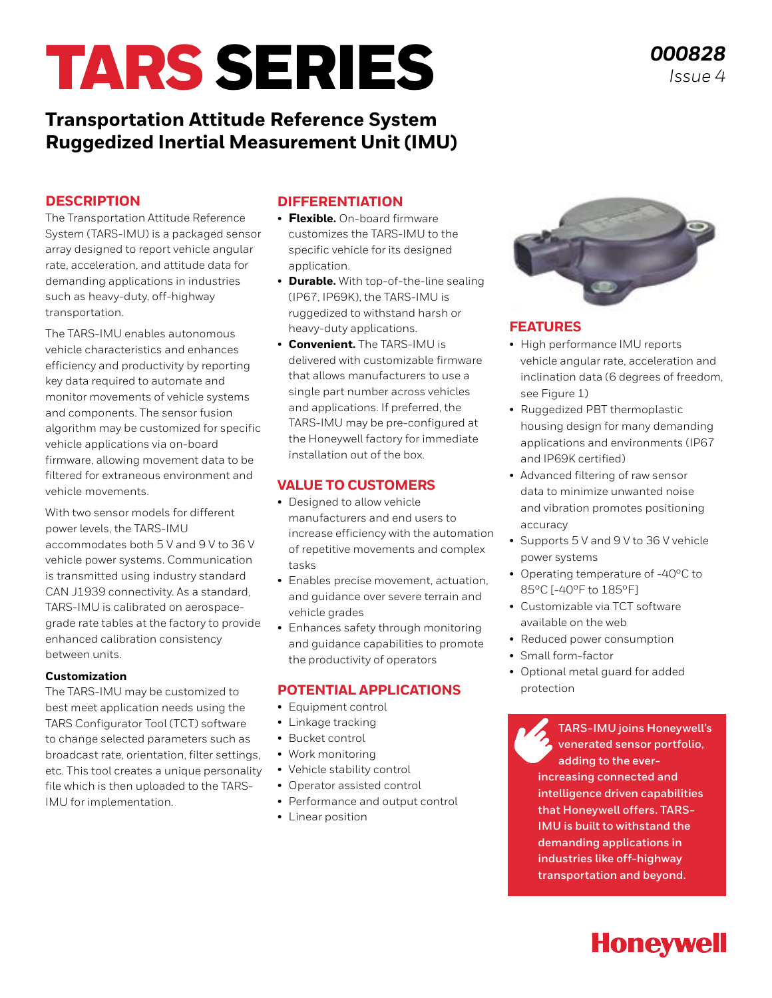# TARS SERIES

### **Transportation Attitude Reference System Ruggedized Inertial Measurement Unit (IMU)**

#### **DESCRIPTION**

The Transportation Attitude Reference System (TARS-IMU) is a packaged sensor array designed to report vehicle angular rate, acceleration, and attitude data for demanding applications in industries such as heavy-duty, off-highway transportation.

The TARS-IMU enables autonomous vehicle characteristics and enhances efficiency and productivity by reporting key data required to automate and monitor movements of vehicle systems and components. The sensor fusion algorithm may be customized for specific vehicle applications via on-board firmware, allowing movement data to be filtered for extraneous environment and vehicle movements.

With two sensor models for different power levels, the TARS-IMU accommodates both 5 V and 9 V to 36 V vehicle power systems. Communication is transmitted using industry standard CAN J1939 connectivity. As a standard, TARS-IMU is calibrated on aerospacegrade rate tables at the factory to provide enhanced calibration consistency between units.

#### **Customization**

The TARS-IMU may be customized to best meet application needs using the TARS Configurator Tool (TCT) software to change selected parameters such as broadcast rate, orientation, filter settings, etc. This tool creates a unique personality file which is then uploaded to the TARS-IMU for implementation.

#### **DIFFERENTIATION**

- **Flexible.** On-board firmware customizes the TARS-IMU to the specific vehicle for its designed application.
- **Durable.** With top-of-the-line sealing (IP67, IP69K), the TARS-IMU is ruggedized to withstand harsh or heavy-duty applications.
- **Convenient.** The TARS-IMU is delivered with customizable firmware that allows manufacturers to use a single part number across vehicles and applications. If preferred, the TARS-IMU may be pre-configured at the Honeywell factory for immediate installation out of the box.

#### **VALUE TO CUSTOMERS**

- Designed to allow vehicle manufacturers and end users to increase efficiency with the automation of repetitive movements and complex tasks
- Enables precise movement, actuation, and guidance over severe terrain and vehicle grades
- Enhances safety through monitoring and guidance capabilities to promote the productivity of operators

#### **POTENTIAL APPLICATIONS**

- Equipment control
- Linkage tracking
- Bucket control
- Work monitoring
- Vehicle stability control
- Operator assisted control
- Performance and output control
- Linear position



#### **FEATURES**

- High performance IMU reports vehicle angular rate, acceleration and inclination data (6 degrees of freedom, see Figure 1)
- Ruggedized PBT thermoplastic housing design for many demanding applications and environments (IP67 and IP69K certified)
- Advanced filtering of raw sensor data to minimize unwanted noise and vibration promotes positioning accuracy
- Supports 5 V and 9 V to 36 V vehicle power systems
- Operating temperature of -40°C to 85°C [-40°F to 185°F]
- Customizable via TCT software available on the web
- Reduced power consumption
- Small form-factor
- Optional metal guard for added protection

**TARS-IMU joins Honeywell's venerated sensor portfolio, adding to the everincreasing connected and [intelligence driven capabilities](https://sensing.honeywell.com/sensors/inertial-measurement-units/tars-imu-series)  that Honeywell offers. TARS-IMU is built to withstand the demanding applications in industries like off-highway transportation and beyond.** 

# **Honeywell**

*000828 Issue 4*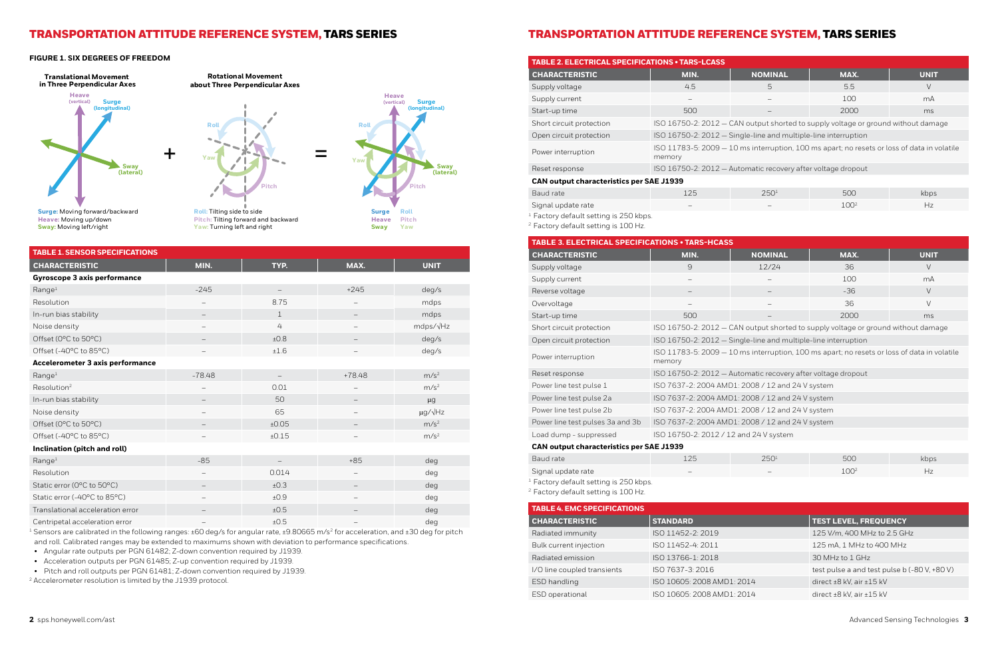### TRANSPORTATION ATTITUDE REFERENCE SYSTEM, TARS SERIES TRANSPORTATION ATTITUDE REFERENCE SYSTEM, TARS SERIES

**Heave:** Moving up/down **Sway:** Moving left/right

**Pitch:** Tilting forward and backward **Yaw:** Turning left and right

**Rotational Movement**

**Roll:** Tilting side to side



**about Three Perpendicular Axes**



**Translational Movement in Three Perpendicular Axes**

**Roll**

**Pitch**

**Yaw**

#### **FIGURE 1. SIX DEGREES OF FREEDOM**

<sup>1</sup> Sensors are calibrated in the following ranges:  $\pm 60$  deg/s for angular rate,  $\pm 9.80665$  m/s<sup>2</sup> for acceleration, and  $\pm 30$  deg for pitch and roll. Calibrated ranges may be extended to maximums shown with deviation to performance specifications.

| <b>TABLE 1. SENSOR SPECIFICATIONS</b>   |          |                          |                          |                      |
|-----------------------------------------|----------|--------------------------|--------------------------|----------------------|
| <b>CHARACTERISTIC</b>                   | MIN.     | TYP.                     | MAX.                     | <b>UNIT</b>          |
| <b>Gyroscope 3 axis performance</b>     |          |                          |                          |                      |
| Range <sup>1</sup>                      | $-245$   |                          | $+245$                   | deg/s                |
| Resolution                              |          | 8.75                     |                          | mdps                 |
| In-run bias stability                   |          | $\mathbf{1}$             |                          | mdps                 |
| Noise density                           |          | 4                        |                          | mdps/ $\sqrt{Hz}$    |
| Offset (0°C to 50°C)                    |          | ±0.8                     |                          | deg/s                |
| Offset (-40°C to 85°C)                  |          | ±1.6                     |                          | deg/s                |
| <b>Accelerometer 3 axis performance</b> |          |                          |                          |                      |
| Range <sup>1</sup>                      | $-78.48$ | $\overline{\phantom{0}}$ | $+78.48$                 | m/s <sup>2</sup>     |
| Resolution <sup>2</sup>                 |          | 0.01                     |                          | m/s <sup>2</sup>     |
| In-run bias stability                   |          | 50                       |                          | $\mu$ g              |
| Noise density                           |          | 65                       |                          | $\mu$ g/ $\sqrt{Hz}$ |
| Offset (0°C to 50°C)                    |          | ±0.05                    | -                        | m/s <sup>2</sup>     |
| Offset (-40°C to 85°C)                  |          | ±0.15                    |                          | m/s <sup>2</sup>     |
| Inclination (pitch and roll)            |          |                          |                          |                      |
| Range <sup>1</sup>                      | $-85$    |                          | $+85$                    | deg                  |
| Resolution                              |          | 0.014                    |                          | deg                  |
| Static error (0°C to 50°C)              |          | ±0.3                     |                          | deg                  |
| Static error (-40°C to 85°C)            |          | ±0.9                     | $\overline{\phantom{0}}$ | deg                  |
| Translational acceleration error        |          | ±0.5                     |                          | deg                  |
| Centripetal acceleration error          |          | ±0.5                     |                          | deg                  |

• Angular rate outputs per PGN 61482; Z-down convention required by J1939.

• Acceleration outputs per PGN 61485; Z-up convention required by J1939.

• Pitch and roll outputs per PGN 61481; Z-down convention required by J1939.

2 Accelerometer resolution is limited by the J1939 protocol.

| <b>TABLE 2. ELECTRICAL SPECIFICATIONS • TARS-LCASS</b> |                          |                                                                                             |      |             |
|--------------------------------------------------------|--------------------------|---------------------------------------------------------------------------------------------|------|-------------|
| <b>CHARACTERISTIC</b>                                  | MIN.                     | <b>NOMINAL</b>                                                                              | MAX. | <b>UNIT</b> |
| Supply voltage                                         | 4.5                      | 5                                                                                           | 5.5  | V           |
| Supply current                                         | $\overline{\phantom{a}}$ |                                                                                             | 100  | mA          |
| Start-up time                                          | 500                      |                                                                                             | 2000 | ms          |
| Short circuit protection                               |                          | ISO 16750-2: 2012 - CAN output shorted to supply voltage or ground without damage           |      |             |
| Open circuit protection                                |                          | ISO 16750-2: 2012 - Single-line and multiple-line interruption                              |      |             |
| Power interruption                                     | memory                   | ISO 11783-5: 2009 - 10 ms interruption, 100 ms apart; no resets or loss of data in volatile |      |             |
| Reset response                                         |                          | ISO 16750-2: 2012 - Automatic recovery after voltage dropout                                |      |             |
| <b>CAN output characteristics per SAE J1939</b>        |                          |                                                                                             |      |             |
|                                                        |                          |                                                                                             |      |             |

<sup>1</sup> Factory default setting is 250 kbps.

| Baud rate          | 125                      | 250 <sup>1</sup>         | 500              | kbps |
|--------------------|--------------------------|--------------------------|------------------|------|
| Signal update rate | $\overline{\phantom{a}}$ | $\overline{\phantom{a}}$ | 100 <sup>2</sup> |      |

- 
- 
- 
- 

| 250 <sup>1</sup>         | 5(1)            | kbps |
|--------------------------|-----------------|------|
| $\overline{\phantom{a}}$ | $1 \cap \Omega$ |      |

<sup>2</sup> Factory default setting is 100 Hz.

| <b>TABLE 3. ELECTRICAL SPECIFICATIONS • TARS-HCASS</b> |                                                                                                       |                                                                                   |       |             |
|--------------------------------------------------------|-------------------------------------------------------------------------------------------------------|-----------------------------------------------------------------------------------|-------|-------------|
| <b>CHARACTERISTIC</b>                                  | MIN.                                                                                                  | <b>NOMINAL</b>                                                                    | MAX.  | <b>UNIT</b> |
| Supply voltage                                         | 9                                                                                                     | 12/24                                                                             | 36    | $\vee$      |
| Supply current                                         | $\overline{\phantom{0}}$                                                                              | -                                                                                 | 100   | mA          |
| Reverse voltage                                        |                                                                                                       | $\overline{\phantom{m}}$                                                          | $-36$ | $\vee$      |
| Overvoltage                                            | -                                                                                                     | -                                                                                 | 36    | $\vee$      |
| Start-up time                                          | 500                                                                                                   |                                                                                   | 2000  | ms          |
| Short circuit protection                               |                                                                                                       | ISO 16750-2: 2012 - CAN output shorted to supply voltage or ground without damage |       |             |
| Open circuit protection                                | ISO 16750-2: 2012 - Single-line and multiple-line interruption                                        |                                                                                   |       |             |
| Power interruption                                     | ISO 11783-5: 2009 - 10 ms interruption, 100 ms apart; no resets or loss of data in volatile<br>memory |                                                                                   |       |             |
| Reset response                                         | ISO 16750-2: 2012 - Automatic recovery after voltage dropout                                          |                                                                                   |       |             |
| Power line test pulse 1                                | ISO 7637-2: 2004 AMD1: 2008 / 12 and 24 V system                                                      |                                                                                   |       |             |
| Power line test pulse 2a                               | ISO 7637-2: 2004 AMD1: 2008 / 12 and 24 V system                                                      |                                                                                   |       |             |
| Power line test pulse 2b                               | ISO 7637-2: 2004 AMD1: 2008 / 12 and 24 V system                                                      |                                                                                   |       |             |
| Power line test pulses 3a and 3b                       | ISO 7637-2: 2004 AMD1: 2008 / 12 and 24 V system                                                      |                                                                                   |       |             |
| Load dump - suppressed                                 | ISO 16750-2: 2012 / 12 and 24 V system                                                                |                                                                                   |       |             |
| <b>CAN output characteristics per SAE J1939</b>        |                                                                                                       |                                                                                   |       |             |
| Baud rate                                              | 125                                                                                                   | 250 <sup>1</sup>                                                                  | 500   | kbps        |

Signal update rate

<sup>1</sup> Factory default setting is 250 kbps.

<sup>2</sup> Factory default setting is 100 Hz.

| <b>TABLE 4. EMC SPECIFICATIONS</b> |                            |                                              |
|------------------------------------|----------------------------|----------------------------------------------|
| <b>CHARACTERISTIC</b>              | <b>STANDARD</b>            | <b>TEST LEVEL, FREQUENCY</b>                 |
| Radiated immunity                  | ISO 11452-2: 2019          | 125 V/m, 400 MHz to 2.5 GHz                  |
| Bulk current injection             | ISO 11452-4: 2011          | 125 mA, 1 MHz to 400 MHz                     |
| Radiated emission                  | ISO 13766-1: 2018          | 30 MHz to 1 GHz                              |
| I/O line coupled transients        | ISO 7637-3: 2016           | test pulse a and test pulse b (-80 V, +80 V) |
| ESD handling                       | ISO 10605: 2008 AMD1: 2014 | direct $\pm 8$ kV, air $\pm 15$ kV           |
| ESD operational                    | ISO 10605: 2008 AMD1: 2014 | direct $\pm 8$ kV, air $\pm 15$ kV           |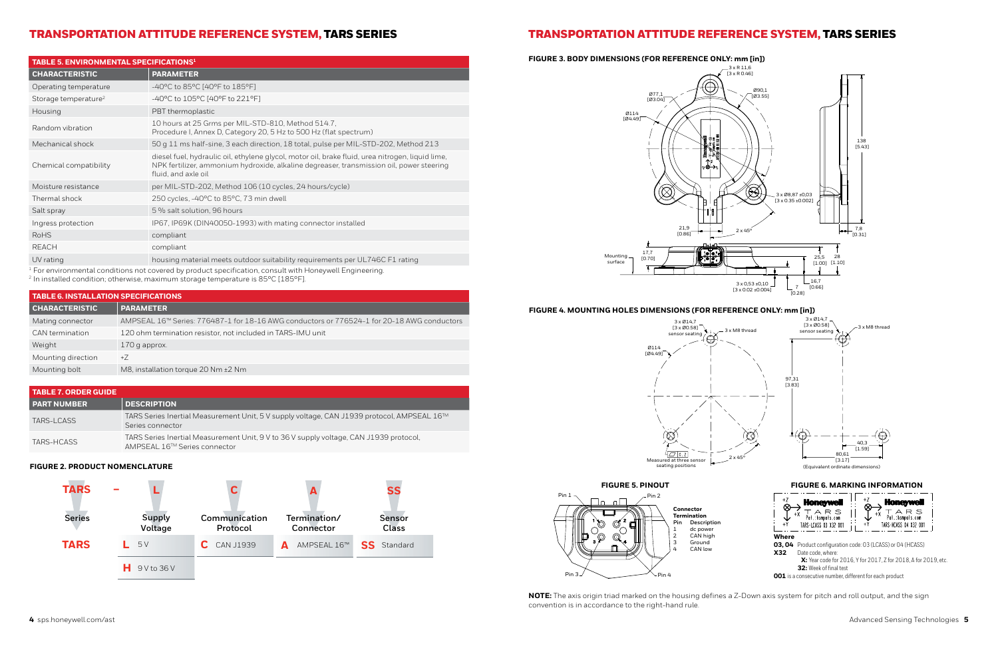### TRANSPORTATION ATTITUDE REFERENCE SYSTEM, TARS SERIES TRANSPORTATION ATTITUDE REFERENCE SYSTEM, TARS SERIES

#### **FIGURE 2. PRODUCT NOMENCLATURE**



| <b>TABLE 7. ORDER GUIDE</b> |                                                                                                                        |
|-----------------------------|------------------------------------------------------------------------------------------------------------------------|
| <b>PART NUMBER</b>          | <b>DESCRIPTION</b>                                                                                                     |
| TARS-LCASS                  | TARS Series Inertial Measurement Unit, 5 V supply voltage, CAN J1939 protocol, AMPSEAL 16™<br>Series connector         |
| TARS-HCASS                  | TARS Series Inertial Measurement Unit, 9 V to 36 V supply voltage, CAN J1939 protocol,<br>AMPSEAL 16™ Series connector |

| <b>TABLE 5. ENVIRONMENTAL SPECIFICATIONS<sup>1</sup></b> |                                                                                                                                                                                                                     |  |
|----------------------------------------------------------|---------------------------------------------------------------------------------------------------------------------------------------------------------------------------------------------------------------------|--|
| <b>CHARACTERISTIC</b>                                    | <b>PARAMETER</b>                                                                                                                                                                                                    |  |
| Operating temperature                                    | $-40^{\circ}$ C to 85 $^{\circ}$ C [40 $^{\circ}$ F to 185 $^{\circ}$ F]                                                                                                                                            |  |
| Storage temperature <sup>2</sup>                         | $-40^{\circ}$ C to 105 $^{\circ}$ C [40 $^{\circ}$ F to 221 $^{\circ}$ F]                                                                                                                                           |  |
| Housing                                                  | PBT thermoplastic                                                                                                                                                                                                   |  |
| Random vibration                                         | 10 hours at 25 Grms per MIL-STD-810, Method 514.7,<br>Procedure I, Annex D, Category 20, 5 Hz to 500 Hz (flat spectrum)                                                                                             |  |
| Mechanical shock                                         | 50 g 11 ms half-sine, 3 each direction, 18 total, pulse per MIL-STD-202, Method 213                                                                                                                                 |  |
| Chemical compatibility                                   | diesel fuel, hydraulic oil, ethylene glycol, motor oil, brake fluid, urea nitrogen, liquid lime,<br>NPK fertilizer, ammonium hydroxide, alkaline degreaser, transmission oil, power steering<br>fluid, and axle oil |  |
| Moisture resistance                                      | per MIL-STD-202, Method 106 (10 cycles, 24 hours/cycle)                                                                                                                                                             |  |
| Thermal shock                                            | 250 cycles, -40°C to 85°C, 73 min dwell                                                                                                                                                                             |  |
| Salt spray                                               | 5 % salt solution, 96 hours                                                                                                                                                                                         |  |
| Ingress protection                                       | IP67, IP69K (DIN40050-1993) with mating connector installed                                                                                                                                                         |  |
| <b>RoHS</b>                                              | compliant                                                                                                                                                                                                           |  |
| <b>REACH</b>                                             | compliant                                                                                                                                                                                                           |  |
| UV rating                                                | housing material meets outdoor suitability requirements per UL746C F1 rating                                                                                                                                        |  |

 $1$  For environmental conditions not covered by product specification, consult with Honeywell Engineering.

<sup>2</sup> In installed condition; otherwise, maximum storage temperature is 85°C [185°F].

| <b>TABLE 6. INSTALLATION SPECIFICATIONS</b> |                                                                                            |  |
|---------------------------------------------|--------------------------------------------------------------------------------------------|--|
| <b>CHARACTERISTIC</b>                       | <b>PARAMETER</b>                                                                           |  |
| Mating connector                            | AMPSEAL 16™ Series: 776487-1 for 18-16 AWG conductors or 776524-1 for 20-18 AWG conductors |  |
| CAN termination                             | 120 ohm termination resistor, not included in TARS-IMU unit                                |  |
| Weight                                      | $170$ g approx.                                                                            |  |
| Mounting direction                          | $+Z$                                                                                       |  |
| Mounting bolt                               | M8, installation torque 20 Nm $\pm$ 2 Nm                                                   |  |



**NOTE:** The axis origin triad marked on the housing defines a Z-Down axis system for pitch and roll output, and the sign convention is in accordance to the right-hand rule.